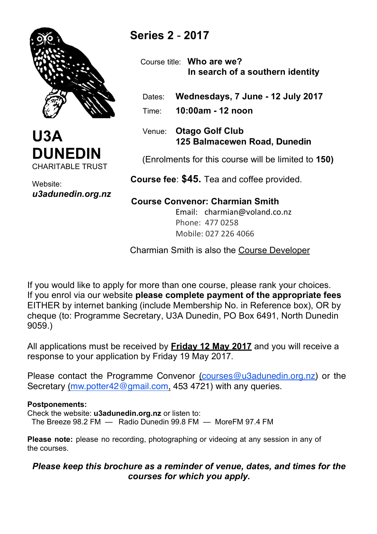



Website: *u3adunedin.org.nz*

# **Series 2** - **2017**

 Course title: **Who are we? In search of a southern identity**

Dates: **Wednesdays, 7 June - 12 July 2017**

Time: **10:00am - 12 noon** 

 Venue: **Otago Golf Club 125 Balmacewen Road, Dunedin**

(Enrolments for this course will be limited to **150)**

 **Course fee**: **\$45.** Tea and coffee provided.

## **Course Convenor: Charmian Smith**

Email: charmian@voland.co.nz Phone: 477 0258 Mobile: 027 226 4066

Charmian Smith is also the Course Developer

If you would like to apply for more than one course, please rank your choices. If you enrol via our website **please complete payment of the appropriate fees** EITHER by internet banking (include Membership No. in Reference box), OR by cheque (to: Programme Secretary, U3A Dunedin, PO Box 6491, North Dunedin 9059.)

All applications must be received by **Friday 12 May 2017** and you will receive a response to your application by Friday 19 May 2017.

Please contact the Programme Convenor (courses@u3adunedin.org.nz) or the Secretary (mw.potter42@gmail.com, 453 4721) with any queries.

## **Postponements:**

Check the website: **u3adunedin.org.nz** or listen to: The Breeze 98.2 FM — Radio Dunedin 99.8 FM — MoreFM 97.4 FM

**Please note:** please no recording, photographing or videoing at any session in any of the courses.

## *Please keep this brochure as a reminder of venue, dates, and times for the courses for which you apply.*